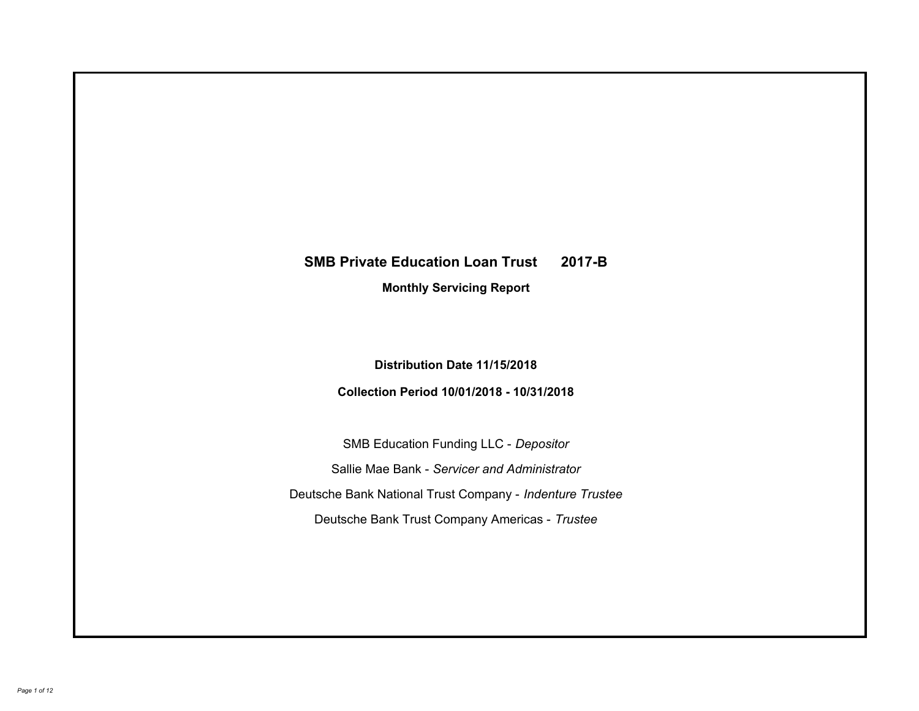# **SMB Private Education Loan Trust 2017-B Monthly Servicing Report**

## **Distribution Date 11/15/2018**

## **Collection Period 10/01/2018 - 10/31/2018**

SMB Education Funding LLC - *Depositor* Sallie Mae Bank - *Servicer and Administrator* Deutsche Bank National Trust Company - *Indenture Trustee* Deutsche Bank Trust Company Americas - *Trustee*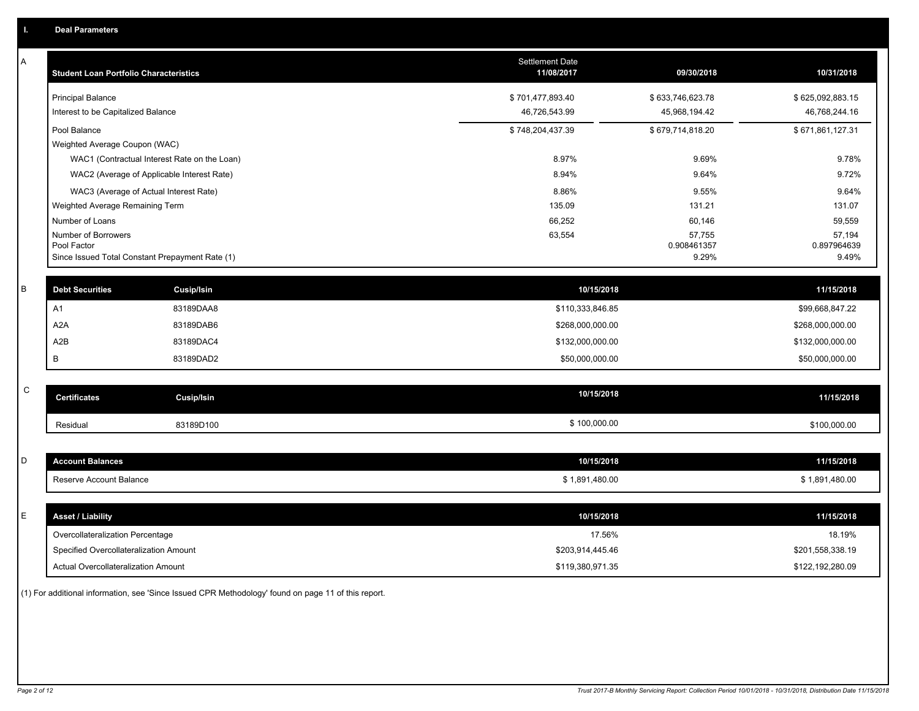| Α           | <b>Student Loan Portfolio Characteristics</b>   |                                              | Settlement Date<br>11/08/2017 | 09/30/2018           | 10/31/2018           |
|-------------|-------------------------------------------------|----------------------------------------------|-------------------------------|----------------------|----------------------|
|             | <b>Principal Balance</b>                        |                                              | \$701,477,893.40              | \$633,746,623.78     | \$625,092,883.15     |
|             | Interest to be Capitalized Balance              |                                              | 46,726,543.99                 | 45,968,194.42        | 46,768,244.16        |
|             | Pool Balance                                    |                                              | \$748,204,437.39              | \$679,714,818.20     | \$671,861,127.31     |
|             | Weighted Average Coupon (WAC)                   |                                              |                               |                      |                      |
|             |                                                 | WAC1 (Contractual Interest Rate on the Loan) | 8.97%                         | 9.69%                | 9.78%                |
|             | WAC2 (Average of Applicable Interest Rate)      |                                              | 8.94%                         | 9.64%                | 9.72%                |
|             | WAC3 (Average of Actual Interest Rate)          |                                              | 8.86%                         | 9.55%                | 9.64%                |
|             | Weighted Average Remaining Term                 |                                              | 135.09                        | 131.21               | 131.07               |
|             | Number of Loans                                 |                                              | 66,252                        | 60,146               | 59,559               |
|             | Number of Borrowers<br>Pool Factor              |                                              | 63,554                        | 57,755               | 57,194               |
|             | Since Issued Total Constant Prepayment Rate (1) |                                              |                               | 0.908461357<br>9.29% | 0.897964639<br>9.49% |
|             |                                                 |                                              |                               |                      |                      |
| B           | <b>Debt Securities</b>                          | Cusip/Isin                                   | 10/15/2018                    |                      | 11/15/2018           |
|             | A1                                              | 83189DAA8                                    | \$110,333,846.85              |                      | \$99,668,847.22      |
|             | A <sub>2</sub> A                                | 83189DAB6                                    | \$268,000,000.00              |                      | \$268,000,000.00     |
|             | A2B                                             | 83189DAC4                                    | \$132,000,000.00              |                      | \$132,000,000.00     |
|             | B                                               | 83189DAD2                                    | \$50,000,000.00               |                      | \$50,000,000.00      |
|             |                                                 |                                              |                               |                      |                      |
| $\mathsf C$ | <b>Certificates</b>                             | <b>Cusip/Isin</b>                            | 10/15/2018                    |                      | 11/15/2018           |
|             | Residual                                        | 83189D100                                    | \$100,000.00                  |                      | \$100,000.00         |
|             |                                                 |                                              |                               |                      |                      |
| D           | <b>Account Balances</b>                         |                                              | 10/15/2018                    |                      | 11/15/2018           |
|             | Reserve Account Balance                         |                                              | \$1,891,480.00                |                      | \$1,891,480.00       |
|             |                                                 |                                              |                               |                      |                      |
| E           | <b>Asset / Liability</b>                        |                                              | 10/15/2018                    |                      | 11/15/2018           |
|             | Overcollateralization Percentage                |                                              | 17.56%                        |                      | 18.19%               |
|             | Specified Overcollateralization Amount          |                                              | \$203,914,445.46              |                      | \$201,558,338.19     |
|             | <b>Actual Overcollateralization Amount</b>      |                                              | \$119.380.971.35              |                      | \$122.192.280.09     |

(1) For additional information, see 'Since Issued CPR Methodology' found on page 11 of this report.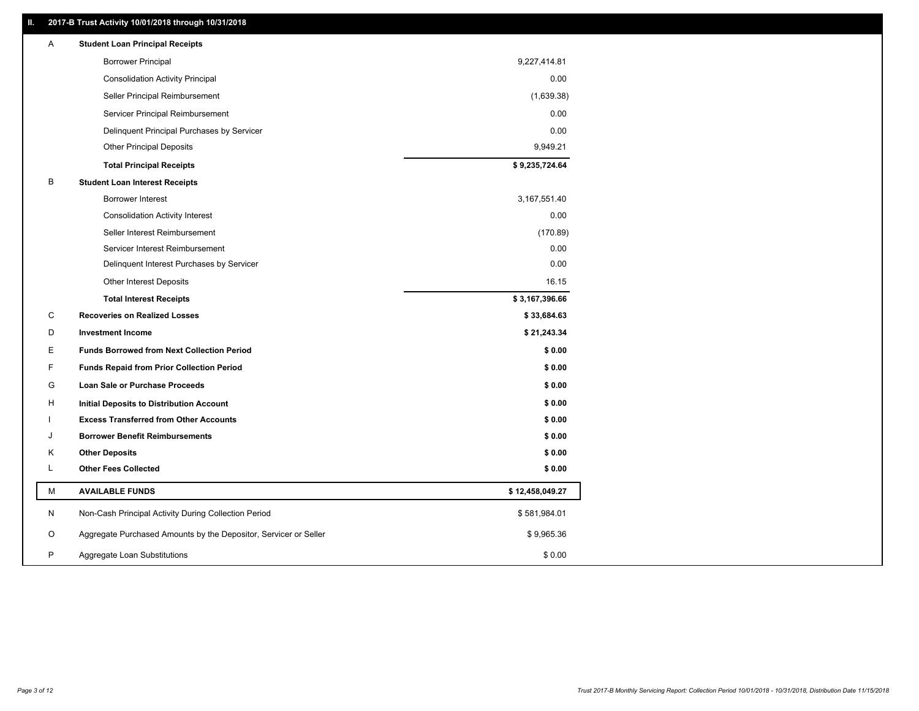#### **II. 2017-B Trust Activity 10/01/2018 through 10/31/2018**

| Α | <b>Student Loan Principal Receipts</b>                           |                 |  |
|---|------------------------------------------------------------------|-----------------|--|
|   | <b>Borrower Principal</b>                                        | 9,227,414.81    |  |
|   | <b>Consolidation Activity Principal</b>                          | 0.00            |  |
|   | Seller Principal Reimbursement                                   | (1,639.38)      |  |
|   | Servicer Principal Reimbursement                                 | 0.00            |  |
|   | Delinquent Principal Purchases by Servicer                       | 0.00            |  |
|   | <b>Other Principal Deposits</b>                                  | 9,949.21        |  |
|   | <b>Total Principal Receipts</b>                                  | \$9,235,724.64  |  |
| B | <b>Student Loan Interest Receipts</b>                            |                 |  |
|   | <b>Borrower Interest</b>                                         | 3,167,551.40    |  |
|   | <b>Consolidation Activity Interest</b>                           | 0.00            |  |
|   | Seller Interest Reimbursement                                    | (170.89)        |  |
|   | Servicer Interest Reimbursement                                  | 0.00            |  |
|   | Delinquent Interest Purchases by Servicer                        | 0.00            |  |
|   | <b>Other Interest Deposits</b>                                   | 16.15           |  |
|   | <b>Total Interest Receipts</b>                                   | \$3,167,396.66  |  |
| C | <b>Recoveries on Realized Losses</b>                             | \$33,684.63     |  |
| D | <b>Investment Income</b>                                         | \$21,243.34     |  |
| Е | <b>Funds Borrowed from Next Collection Period</b>                | \$0.00          |  |
| F | <b>Funds Repaid from Prior Collection Period</b>                 | \$0.00          |  |
| G | Loan Sale or Purchase Proceeds                                   | \$0.00          |  |
| н | Initial Deposits to Distribution Account                         | \$0.00          |  |
|   | <b>Excess Transferred from Other Accounts</b>                    | \$0.00          |  |
| J | <b>Borrower Benefit Reimbursements</b>                           | \$0.00          |  |
| Κ | <b>Other Deposits</b>                                            | \$0.00          |  |
| Г | <b>Other Fees Collected</b>                                      | \$0.00          |  |
| М | <b>AVAILABLE FUNDS</b>                                           | \$12,458,049.27 |  |
| N | Non-Cash Principal Activity During Collection Period             | \$581,984.01    |  |
| O | Aggregate Purchased Amounts by the Depositor, Servicer or Seller | \$9,965.36      |  |
| P | Aggregate Loan Substitutions                                     | \$0.00          |  |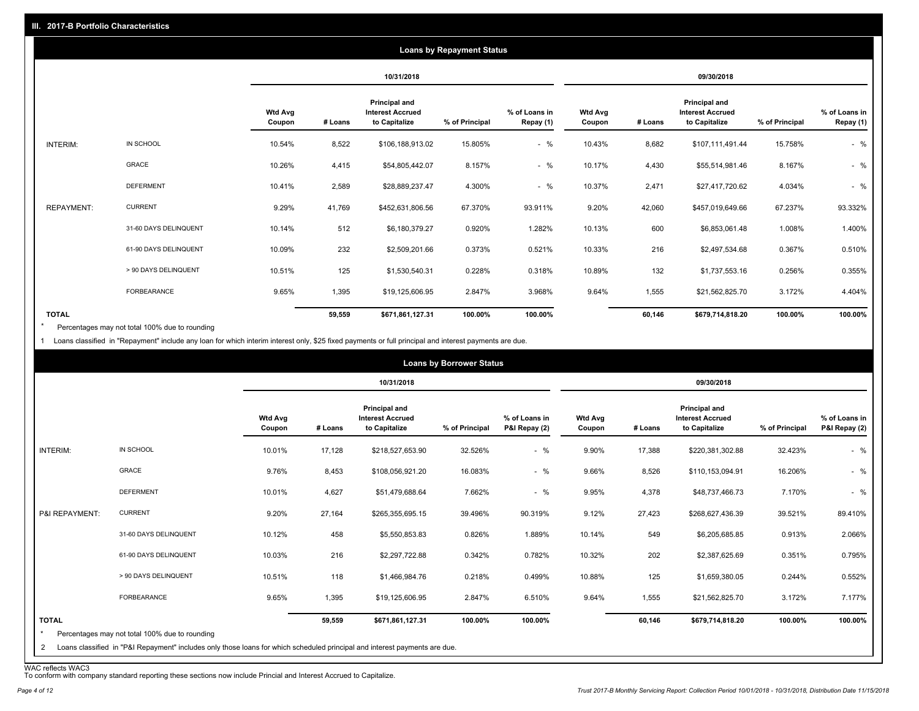|                   |                       |                          |         |                                                           | <b>Loans by Repayment Status</b> |                            |                          |         |                                                           |                |                            |
|-------------------|-----------------------|--------------------------|---------|-----------------------------------------------------------|----------------------------------|----------------------------|--------------------------|---------|-----------------------------------------------------------|----------------|----------------------------|
|                   |                       |                          |         | 10/31/2018                                                |                                  |                            |                          |         | 09/30/2018                                                |                |                            |
|                   |                       | <b>Wtd Avg</b><br>Coupon | # Loans | Principal and<br><b>Interest Accrued</b><br>to Capitalize | % of Principal                   | % of Loans in<br>Repay (1) | <b>Wtd Avg</b><br>Coupon | # Loans | Principal and<br><b>Interest Accrued</b><br>to Capitalize | % of Principal | % of Loans in<br>Repay (1) |
| INTERIM:          | IN SCHOOL             | 10.54%                   | 8,522   | \$106,188,913.02                                          | 15.805%                          | $-$ %                      | 10.43%                   | 8,682   | \$107,111,491.44                                          | 15.758%        | $-$ %                      |
|                   | <b>GRACE</b>          | 10.26%                   | 4,415   | \$54,805,442.07                                           | 8.157%                           | $-$ %                      | 10.17%                   | 4,430   | \$55,514,981.46                                           | 8.167%         | $-$ %                      |
|                   | <b>DEFERMENT</b>      | 10.41%                   | 2,589   | \$28,889,237.47                                           | 4.300%                           | $-$ %                      | 10.37%                   | 2,471   | \$27,417,720.62                                           | 4.034%         | $-$ %                      |
| <b>REPAYMENT:</b> | <b>CURRENT</b>        | 9.29%                    | 41,769  | \$452,631,806.56                                          | 67.370%                          | 93.911%                    | 9.20%                    | 42,060  | \$457,019,649.66                                          | 67.237%        | 93.332%                    |
|                   | 31-60 DAYS DELINQUENT | 10.14%                   | 512     | \$6,180,379.27                                            | 0.920%                           | 1.282%                     | 10.13%                   | 600     | \$6,853,061.48                                            | 1.008%         | 1.400%                     |
|                   | 61-90 DAYS DELINQUENT | 10.09%                   | 232     | \$2,509,201.66                                            | 0.373%                           | 0.521%                     | 10.33%                   | 216     | \$2,497,534.68                                            | 0.367%         | 0.510%                     |
|                   | > 90 DAYS DELINQUENT  | 10.51%                   | 125     | \$1,530,540.31                                            | 0.228%                           | 0.318%                     | 10.89%                   | 132     | \$1,737,553.16                                            | 0.256%         | 0.355%                     |
|                   | FORBEARANCE           | 9.65%                    | 1,395   | \$19,125,606.95                                           | 2.847%                           | 3.968%                     | 9.64%                    | 1,555   | \$21,562,825.70                                           | 3.172%         | 4.404%                     |
| <b>TOTAL</b>      |                       |                          | 59,559  | \$671,861,127.31                                          | 100.00%                          | 100.00%                    |                          | 60,146  | \$679,714,818.20                                          | 100.00%        | 100.00%                    |

Percentages may not total 100% due to rounding \*

1 Loans classified in "Repayment" include any loan for which interim interest only, \$25 fixed payments or full principal and interest payments are due.

|                         |                                                                                                                            |                          |         |                                                           | <b>Loans by Borrower Status</b> |                                |                          |         |                                                           |                |                                |
|-------------------------|----------------------------------------------------------------------------------------------------------------------------|--------------------------|---------|-----------------------------------------------------------|---------------------------------|--------------------------------|--------------------------|---------|-----------------------------------------------------------|----------------|--------------------------------|
|                         |                                                                                                                            |                          |         | 10/31/2018                                                |                                 |                                |                          |         | 09/30/2018                                                |                |                                |
|                         |                                                                                                                            | <b>Wtd Avg</b><br>Coupon | # Loans | Principal and<br><b>Interest Accrued</b><br>to Capitalize | % of Principal                  | % of Loans in<br>P&I Repay (2) | <b>Wtd Avg</b><br>Coupon | # Loans | Principal and<br><b>Interest Accrued</b><br>to Capitalize | % of Principal | % of Loans in<br>P&I Repay (2) |
| INTERIM:                | IN SCHOOL                                                                                                                  | 10.01%                   | 17,128  | \$218,527,653.90                                          | 32.526%                         | $-$ %                          | 9.90%                    | 17,388  | \$220,381,302.88                                          | 32.423%        | $-$ %                          |
|                         | GRACE                                                                                                                      | 9.76%                    | 8,453   | \$108,056,921.20                                          | 16.083%                         | $-$ %                          | 9.66%                    | 8,526   | \$110,153,094.91                                          | 16.206%        | $-$ %                          |
|                         | <b>DEFERMENT</b>                                                                                                           | 10.01%                   | 4,627   | \$51,479,688.64                                           | 7.662%                          | $-$ %                          | 9.95%                    | 4,378   | \$48,737,466.73                                           | 7.170%         | $-$ %                          |
| P&I REPAYMENT:          | <b>CURRENT</b>                                                                                                             | 9.20%                    | 27,164  | \$265,355,695.15                                          | 39.496%                         | 90.319%                        | 9.12%                    | 27,423  | \$268,627,436.39                                          | 39.521%        | 89.410%                        |
|                         | 31-60 DAYS DELINQUENT                                                                                                      | 10.12%                   | 458     | \$5,550,853.83                                            | 0.826%                          | 1.889%                         | 10.14%                   | 549     | \$6,205,685.85                                            | 0.913%         | 2.066%                         |
|                         | 61-90 DAYS DELINQUENT                                                                                                      | 10.03%                   | 216     | \$2,297,722.88                                            | 0.342%                          | 0.782%                         | 10.32%                   | 202     | \$2,387,625.69                                            | 0.351%         | 0.795%                         |
|                         | > 90 DAYS DELINQUENT                                                                                                       | 10.51%                   | 118     | \$1,466,984.76                                            | 0.218%                          | 0.499%                         | 10.88%                   | 125     | \$1,659,380.05                                            | 0.244%         | 0.552%                         |
|                         | <b>FORBEARANCE</b>                                                                                                         | 9.65%                    | 1,395   | \$19,125,606.95                                           | 2.847%                          | 6.510%                         | 9.64%                    | 1,555   | \$21,562,825.70                                           | 3.172%         | 7.177%                         |
| <b>TOTAL</b><br>$\star$ | Percentages may not total 100% due to rounding                                                                             |                          | 59,559  | \$671,861,127.31                                          | 100.00%                         | 100.00%                        |                          | 60,146  | \$679,714,818.20                                          | 100.00%        | 100.00%                        |
| 2                       | Loans classified in "P&I Repayment" includes only those loans for which scheduled principal and interest payments are due. |                          |         |                                                           |                                 |                                |                          |         |                                                           |                |                                |

WAC reflects WAC3 To conform with company standard reporting these sections now include Princial and Interest Accrued to Capitalize.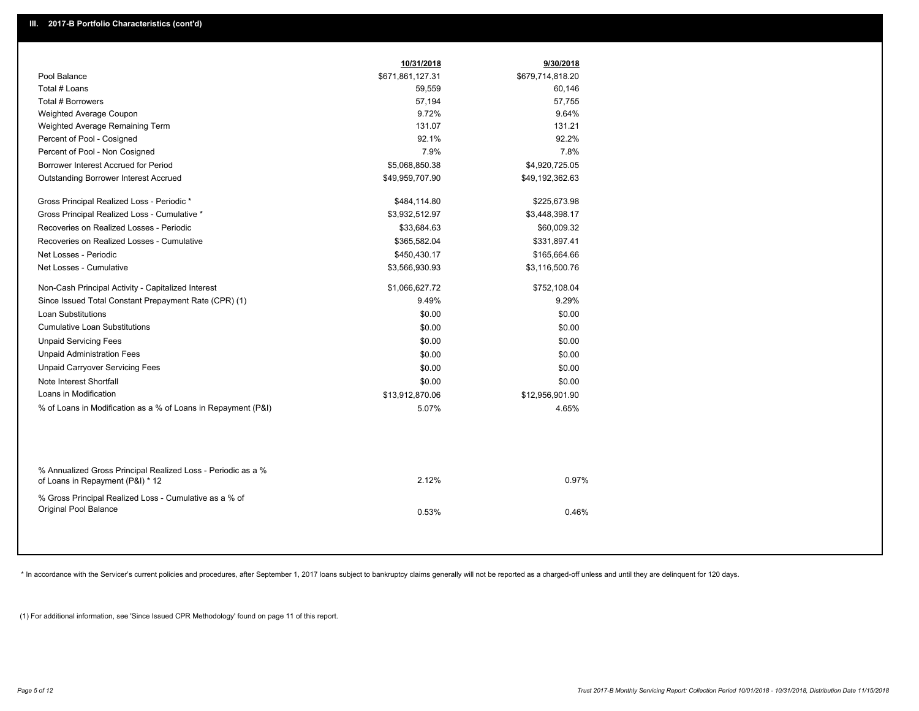|                                                                                                  | 10/31/2018       | 9/30/2018        |
|--------------------------------------------------------------------------------------------------|------------------|------------------|
| Pool Balance                                                                                     | \$671,861,127.31 | \$679,714,818.20 |
| Total # Loans                                                                                    | 59,559           | 60,146           |
| Total # Borrowers                                                                                | 57,194           | 57,755           |
| Weighted Average Coupon                                                                          | 9.72%            | 9.64%            |
| Weighted Average Remaining Term                                                                  | 131.07           | 131.21           |
| Percent of Pool - Cosigned                                                                       | 92.1%            | 92.2%            |
| Percent of Pool - Non Cosigned                                                                   | 7.9%             | 7.8%             |
| Borrower Interest Accrued for Period                                                             | \$5,068,850.38   | \$4,920,725.05   |
| <b>Outstanding Borrower Interest Accrued</b>                                                     | \$49,959,707.90  | \$49,192,362.63  |
| Gross Principal Realized Loss - Periodic *                                                       | \$484,114.80     | \$225,673.98     |
| Gross Principal Realized Loss - Cumulative *                                                     | \$3,932,512.97   | \$3,448,398.17   |
| Recoveries on Realized Losses - Periodic                                                         | \$33,684.63      | \$60,009.32      |
| Recoveries on Realized Losses - Cumulative                                                       | \$365,582.04     | \$331,897.41     |
| Net Losses - Periodic                                                                            | \$450,430.17     | \$165,664.66     |
| Net Losses - Cumulative                                                                          | \$3,566,930.93   | \$3,116,500.76   |
| Non-Cash Principal Activity - Capitalized Interest                                               | \$1,066,627.72   | \$752,108.04     |
| Since Issued Total Constant Prepayment Rate (CPR) (1)                                            | 9.49%            | 9.29%            |
| <b>Loan Substitutions</b>                                                                        | \$0.00           | \$0.00           |
| <b>Cumulative Loan Substitutions</b>                                                             | \$0.00           | \$0.00           |
| <b>Unpaid Servicing Fees</b>                                                                     | \$0.00           | \$0.00           |
| <b>Unpaid Administration Fees</b>                                                                | \$0.00           | \$0.00           |
| <b>Unpaid Carryover Servicing Fees</b>                                                           | \$0.00           | \$0.00           |
| Note Interest Shortfall                                                                          | \$0.00           | \$0.00           |
| Loans in Modification                                                                            | \$13,912,870.06  | \$12,956,901.90  |
| % of Loans in Modification as a % of Loans in Repayment (P&I)                                    | 5.07%            | 4.65%            |
|                                                                                                  |                  |                  |
| % Annualized Gross Principal Realized Loss - Periodic as a %<br>of Loans in Repayment (P&I) * 12 | 2.12%            | 0.97%            |
| % Gross Principal Realized Loss - Cumulative as a % of                                           |                  |                  |
| Original Pool Balance                                                                            | 0.53%            | 0.46%            |

\* In accordance with the Servicer's current policies and procedures, after September 1, 2017 loans subject to bankruptcy claims generally will not be reported as a charged-off unless and until they are delinquent for 120 d

(1) For additional information, see 'Since Issued CPR Methodology' found on page 11 of this report.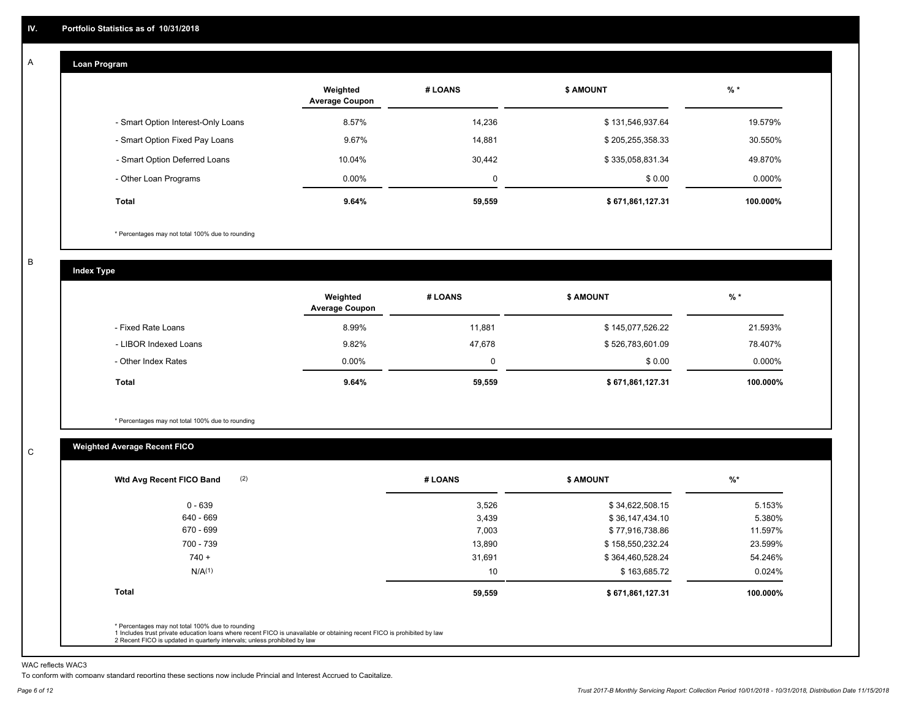#### **Loan Program**  A

|                                    | Weighted<br><b>Average Coupon</b> | # LOANS     | <b>\$ AMOUNT</b> | $%$ *    |
|------------------------------------|-----------------------------------|-------------|------------------|----------|
| - Smart Option Interest-Only Loans | 8.57%                             | 14,236      | \$131,546,937.64 | 19.579%  |
| - Smart Option Fixed Pay Loans     | 9.67%                             | 14,881      | \$205,255,358.33 | 30.550%  |
| - Smart Option Deferred Loans      | 10.04%                            | 30,442      | \$335,058,831.34 | 49.870%  |
| - Other Loan Programs              | $0.00\%$                          | $\mathbf 0$ | \$0.00           | 0.000%   |
| <b>Total</b>                       | 9.64%                             | 59,559      | \$671,861,127.31 | 100.000% |

\* Percentages may not total 100% due to rounding

B

C

**Index Type**

|                       | Weighted<br><b>Average Coupon</b> | # LOANS | <b>\$ AMOUNT</b> | $%$ *    |
|-----------------------|-----------------------------------|---------|------------------|----------|
| - Fixed Rate Loans    | 8.99%                             | 11.881  | \$145,077,526.22 | 21.593%  |
| - LIBOR Indexed Loans | 9.82%                             | 47,678  | \$526,783,601.09 | 78.407%  |
| - Other Index Rates   | $0.00\%$                          |         | \$0.00           | 0.000%   |
| Total                 | 9.64%                             | 59,559  | \$671,861,127.31 | 100.000% |

\* Percentages may not total 100% due to rounding

### **Weighted Average Recent FICO**

| (2)<br>Wtd Avg Recent FICO Band | # LOANS | <b>\$ AMOUNT</b> | $\frac{9}{6}$ * |
|---------------------------------|---------|------------------|-----------------|
| 0 - 639                         | 3,526   | \$34,622,508.15  | 5.153%          |
| 640 - 669                       | 3,439   | \$36,147,434.10  | 5.380%          |
| 670 - 699                       | 7,003   | \$77,916,738.86  | 11.597%         |
| 700 - 739                       | 13,890  | \$158,550,232.24 | 23.599%         |
| $740 +$                         | 31,691  | \$364,460,528.24 | 54.246%         |
| N/A <sup>(1)</sup>              | 10      | \$163,685.72     | 0.024%          |
| <b>Total</b>                    | 59,559  | \$671,861,127.31 | 100.000%        |

WAC reflects WAC3

To conform with company standard reporting these sections now include Princial and Interest Accrued to Capitalize.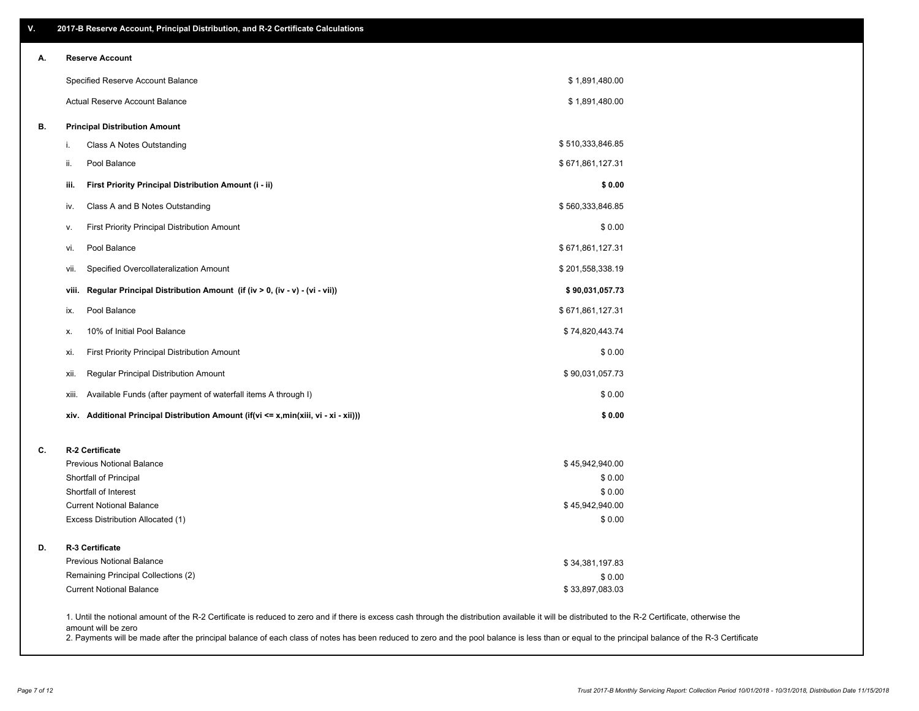| V. | 2017-B Reserve Account, Principal Distribution, and R-2 Certificate Calculations     |                                                                                                                                                                                                    |
|----|--------------------------------------------------------------------------------------|----------------------------------------------------------------------------------------------------------------------------------------------------------------------------------------------------|
| А. | <b>Reserve Account</b>                                                               |                                                                                                                                                                                                    |
|    | Specified Reserve Account Balance                                                    | \$1,891,480.00                                                                                                                                                                                     |
|    | Actual Reserve Account Balance                                                       | \$1,891,480.00                                                                                                                                                                                     |
| В. | <b>Principal Distribution Amount</b>                                                 |                                                                                                                                                                                                    |
|    | Class A Notes Outstanding<br>i.                                                      | \$510,333,846.85                                                                                                                                                                                   |
|    | Pool Balance<br>ii.                                                                  | \$671,861,127.31                                                                                                                                                                                   |
|    | First Priority Principal Distribution Amount (i - ii)<br>iii.                        | \$0.00                                                                                                                                                                                             |
|    | Class A and B Notes Outstanding<br>iv.                                               | \$560,333,846.85                                                                                                                                                                                   |
|    | First Priority Principal Distribution Amount<br>v.                                   | \$0.00                                                                                                                                                                                             |
|    | Pool Balance<br>vi.                                                                  | \$671,861,127.31                                                                                                                                                                                   |
|    | Specified Overcollateralization Amount<br>vii.                                       | \$201,558,338.19                                                                                                                                                                                   |
|    | Regular Principal Distribution Amount (if (iv > 0, (iv - v) - (vi - vii))<br>viii.   | \$90,031,057.73                                                                                                                                                                                    |
|    | Pool Balance<br>ix.                                                                  | \$671,861,127.31                                                                                                                                                                                   |
|    | 10% of Initial Pool Balance<br>Х.                                                    | \$74,820,443.74                                                                                                                                                                                    |
|    | First Priority Principal Distribution Amount<br>xi.                                  | \$0.00                                                                                                                                                                                             |
|    | Regular Principal Distribution Amount<br>xii.                                        | \$90,031,057.73                                                                                                                                                                                    |
|    | Available Funds (after payment of waterfall items A through I)<br>xiii.              | \$0.00                                                                                                                                                                                             |
|    | xiv. Additional Principal Distribution Amount (if(vi <= x,min(xiii, vi - xi - xii))) | \$0.00                                                                                                                                                                                             |
| C. | R-2 Certificate                                                                      |                                                                                                                                                                                                    |
|    | <b>Previous Notional Balance</b>                                                     | \$45,942,940.00                                                                                                                                                                                    |
|    | Shortfall of Principal                                                               | \$0.00                                                                                                                                                                                             |
|    | Shortfall of Interest                                                                | \$0.00                                                                                                                                                                                             |
|    | <b>Current Notional Balance</b><br>Excess Distribution Allocated (1)                 | \$45,942,940.00<br>\$0.00                                                                                                                                                                          |
|    |                                                                                      |                                                                                                                                                                                                    |
| D. | R-3 Certificate                                                                      |                                                                                                                                                                                                    |
|    | Previous Notional Balance                                                            | \$34,381,197.83                                                                                                                                                                                    |
|    | Remaining Principal Collections (2)                                                  | \$0.00                                                                                                                                                                                             |
|    | <b>Current Notional Balance</b>                                                      | \$33,897,083.03                                                                                                                                                                                    |
|    |                                                                                      | 1. Until the notional amount of the R-2 Certificate is reduced to zero and if there is excess cash through the distribution available it will be distributed to the R-2 Certificate, otherwise the |

amount will be zero

2. Payments will be made after the principal balance of each class of notes has been reduced to zero and the pool balance is less than or equal to the principal balance of the R-3 Certificate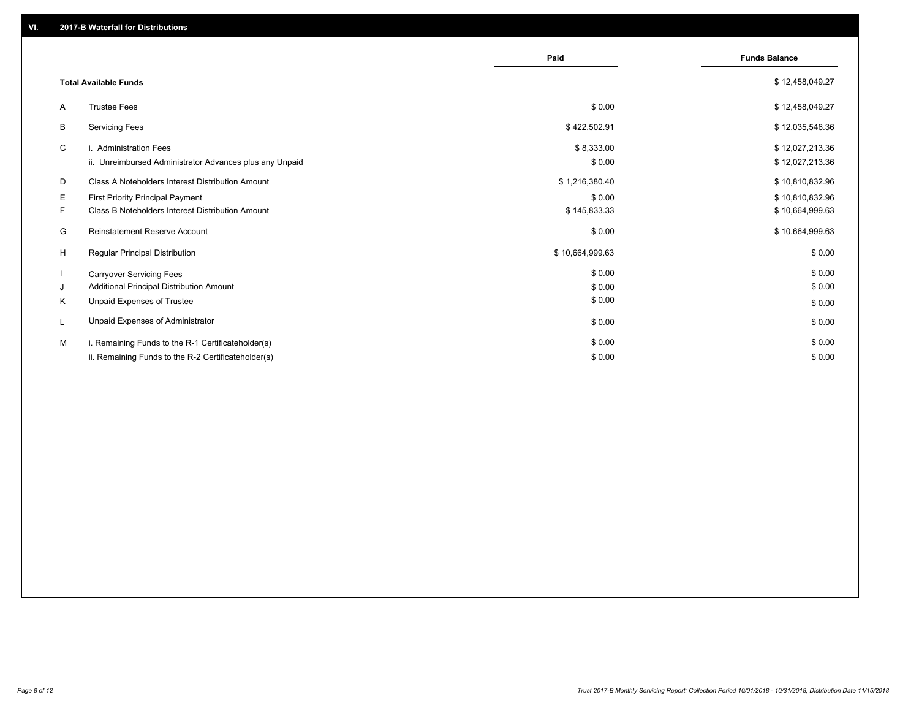|    |                                                         | Paid            | <b>Funds Balance</b> |
|----|---------------------------------------------------------|-----------------|----------------------|
|    | <b>Total Available Funds</b>                            |                 | \$12,458,049.27      |
| A  | <b>Trustee Fees</b>                                     | \$0.00          | \$12,458,049.27      |
| В  | <b>Servicing Fees</b>                                   | \$422,502.91    | \$12,035,546.36      |
| C  | i. Administration Fees                                  | \$8,333.00      | \$12,027,213.36      |
|    | ii. Unreimbursed Administrator Advances plus any Unpaid | \$0.00          | \$12,027,213.36      |
| D  | Class A Noteholders Interest Distribution Amount        | \$1,216,380.40  | \$10,810,832.96      |
| Е  | First Priority Principal Payment                        | \$0.00          | \$10,810,832.96      |
| F. | Class B Noteholders Interest Distribution Amount        | \$145,833.33    | \$10,664,999.63      |
| G  | <b>Reinstatement Reserve Account</b>                    | \$0.00          | \$10,664,999.63      |
| H  | Regular Principal Distribution                          | \$10,664,999.63 | \$0.00               |
|    | <b>Carryover Servicing Fees</b>                         | \$0.00          | \$0.00               |
| J  | Additional Principal Distribution Amount                | \$0.00          | \$0.00               |
| Κ  | Unpaid Expenses of Trustee                              | \$0.00          | \$0.00               |
| L  | Unpaid Expenses of Administrator                        | \$0.00          | \$0.00               |
| м  | i. Remaining Funds to the R-1 Certificateholder(s)      | \$0.00          | \$0.00               |
|    | ii. Remaining Funds to the R-2 Certificateholder(s)     | \$0.00          | \$0.00               |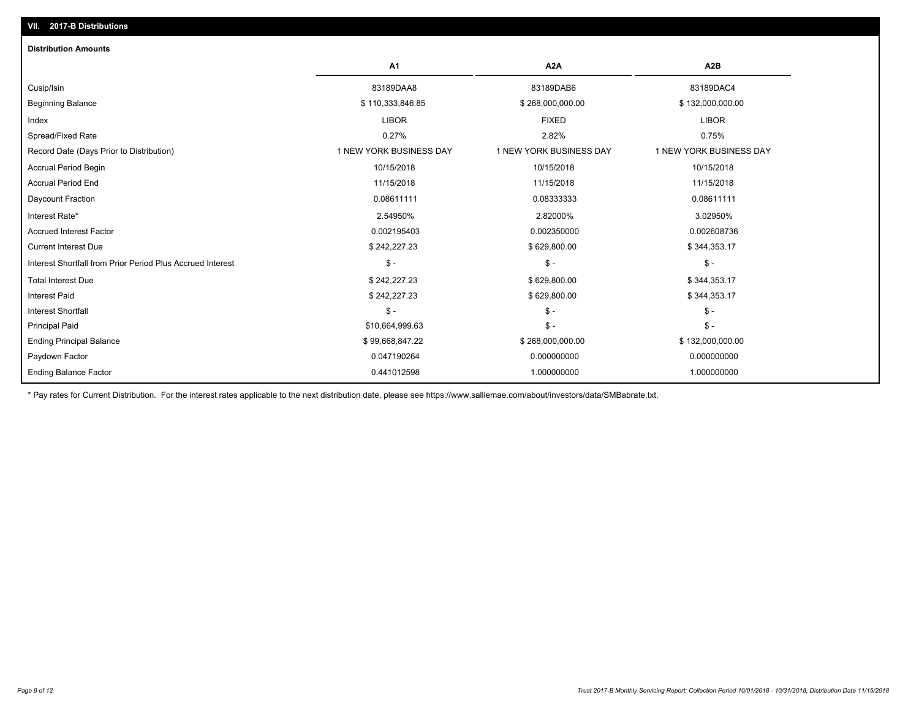| <b>Distribution Amounts</b>                                |                         |                         |                         |
|------------------------------------------------------------|-------------------------|-------------------------|-------------------------|
|                                                            | A <sub>1</sub>          | A <sub>2</sub> A        | A <sub>2</sub> B        |
| Cusip/Isin                                                 | 83189DAA8               | 83189DAB6               | 83189DAC4               |
| <b>Beginning Balance</b>                                   | \$110,333,846.85        | \$268,000,000.00        | \$132,000,000.00        |
| Index                                                      | <b>LIBOR</b>            | <b>FIXED</b>            | <b>LIBOR</b>            |
| Spread/Fixed Rate                                          | 0.27%                   | 2.82%                   | 0.75%                   |
| Record Date (Days Prior to Distribution)                   | 1 NEW YORK BUSINESS DAY | 1 NEW YORK BUSINESS DAY | 1 NEW YORK BUSINESS DAY |
| <b>Accrual Period Begin</b>                                | 10/15/2018              | 10/15/2018              | 10/15/2018              |
| <b>Accrual Period End</b>                                  | 11/15/2018              | 11/15/2018              | 11/15/2018              |
| Daycount Fraction                                          | 0.08611111              | 0.08333333              | 0.08611111              |
| Interest Rate*                                             | 2.54950%                | 2.82000%                | 3.02950%                |
| <b>Accrued Interest Factor</b>                             | 0.002195403             | 0.002350000             | 0.002608736             |
| <b>Current Interest Due</b>                                | \$242,227.23            | \$629,800.00            | \$344,353.17            |
| Interest Shortfall from Prior Period Plus Accrued Interest | $\mathsf{\$}$ -         | $\frac{1}{2}$           | $\frac{1}{2}$           |
| <b>Total Interest Due</b>                                  | \$242,227.23            | \$629,800.00            | \$344,353.17            |
| <b>Interest Paid</b>                                       | \$242,227.23            | \$629,800.00            | \$344,353.17            |
| <b>Interest Shortfall</b>                                  | $\mathsf{\$}$ -         | $\mathsf{\$}$ -         | $$ -$                   |
| <b>Principal Paid</b>                                      | \$10,664,999.63         | $$ -$                   | $$ -$                   |
| <b>Ending Principal Balance</b>                            | \$99,668,847.22         | \$268,000,000.00        | \$132,000,000.00        |
| Paydown Factor                                             | 0.047190264             | 0.000000000             | 0.000000000             |
| <b>Ending Balance Factor</b>                               | 0.441012598             | 1.000000000             | 1.000000000             |

\* Pay rates for Current Distribution. For the interest rates applicable to the next distribution date, please see https://www.salliemae.com/about/investors/data/SMBabrate.txt.

**VII. 2017-B Distributions**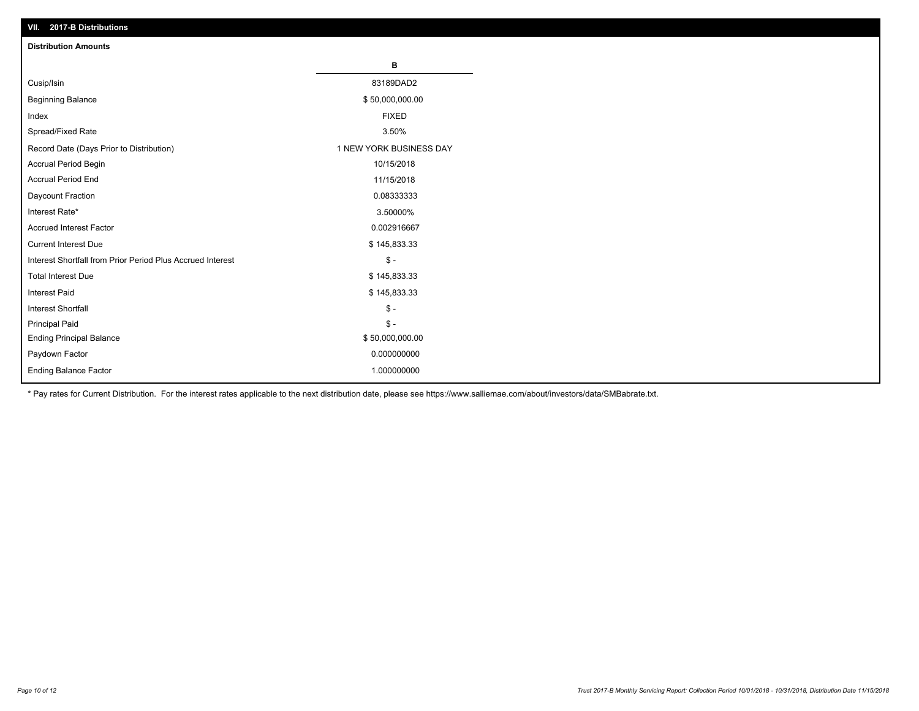| VII. 2017-B Distributions                                  |                         |
|------------------------------------------------------------|-------------------------|
| <b>Distribution Amounts</b>                                |                         |
|                                                            | в                       |
| Cusip/Isin                                                 | 83189DAD2               |
| <b>Beginning Balance</b>                                   | \$50,000,000.00         |
| Index                                                      | <b>FIXED</b>            |
| Spread/Fixed Rate                                          | 3.50%                   |
| Record Date (Days Prior to Distribution)                   | 1 NEW YORK BUSINESS DAY |
| Accrual Period Begin                                       | 10/15/2018              |
| <b>Accrual Period End</b>                                  | 11/15/2018              |
| Daycount Fraction                                          | 0.08333333              |
| Interest Rate*                                             | 3.50000%                |
| <b>Accrued Interest Factor</b>                             | 0.002916667             |
| <b>Current Interest Due</b>                                | \$145,833.33            |
| Interest Shortfall from Prior Period Plus Accrued Interest | $$ -$                   |
| <b>Total Interest Due</b>                                  | \$145,833.33            |
| Interest Paid                                              | \$145,833.33            |
| Interest Shortfall                                         | $\mathbb{S}$ -          |
| <b>Principal Paid</b>                                      | $\mathbb S$ -           |
| <b>Ending Principal Balance</b>                            | \$50,000,000.00         |
| Paydown Factor                                             | 0.000000000             |
| Ending Balance Factor                                      | 1.000000000             |

\* Pay rates for Current Distribution. For the interest rates applicable to the next distribution date, please see https://www.salliemae.com/about/investors/data/SMBabrate.txt.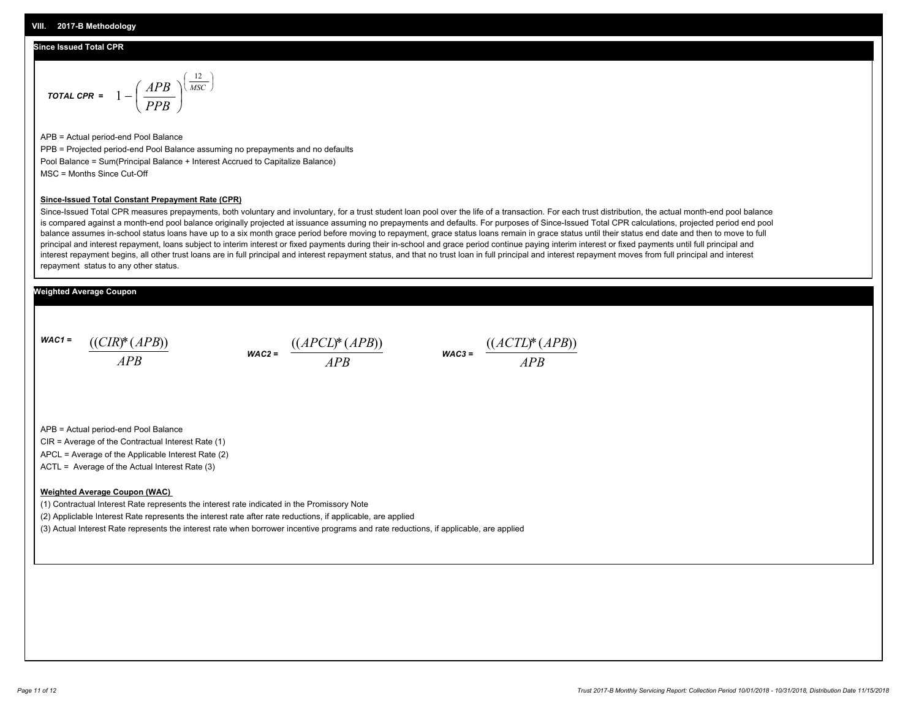#### **Since Issued Total CPR**

$$
\text{total CPR} = 1 - \left(\frac{APB}{PPB}\right)^{\left(\frac{12}{MSC}\right)}
$$

APB = Actual period-end Pool Balance PPB = Projected period-end Pool Balance assuming no prepayments and no defaults Pool Balance = Sum(Principal Balance + Interest Accrued to Capitalize Balance) MSC = Months Since Cut-Off

#### **Since-Issued Total Constant Prepayment Rate (CPR)**

Since-Issued Total CPR measures prepayments, both voluntary and involuntary, for a trust student loan pool over the life of a transaction. For each trust distribution, the actual month-end pool balance is compared against a month-end pool balance originally projected at issuance assuming no prepayments and defaults. For purposes of Since-Issued Total CPR calculations, projected period end pool balance assumes in-school status loans have up to a six month grace period before moving to repayment, grace status loans remain in grace status until their status end date and then to move to full principal and interest repayment, loans subject to interim interest or fixed payments during their in-school and grace period continue paying interim interest or fixed payments until full principal and interest repayment begins, all other trust loans are in full principal and interest repayment status, and that no trust loan in full principal and interest repayment moves from full principal and interest repayment status to any other status.

#### **Weighted Average Coupon**

*WAC1 = APB* ((*CIR*)\*(*APB*))

*WAC2 = APB*



APB = Actual period-end Pool Balance

CIR = Average of the Contractual Interest Rate (1)

APCL = Average of the Applicable Interest Rate (2)

ACTL = Average of the Actual Interest Rate (3)

#### **Weighted Average Coupon (WAC)**

(1) Contractual Interest Rate represents the interest rate indicated in the Promissory Note

(2) Appliclable Interest Rate represents the interest rate after rate reductions, if applicable, are applied

(3) Actual Interest Rate represents the interest rate when borrower incentive programs and rate reductions, if applicable, are applied